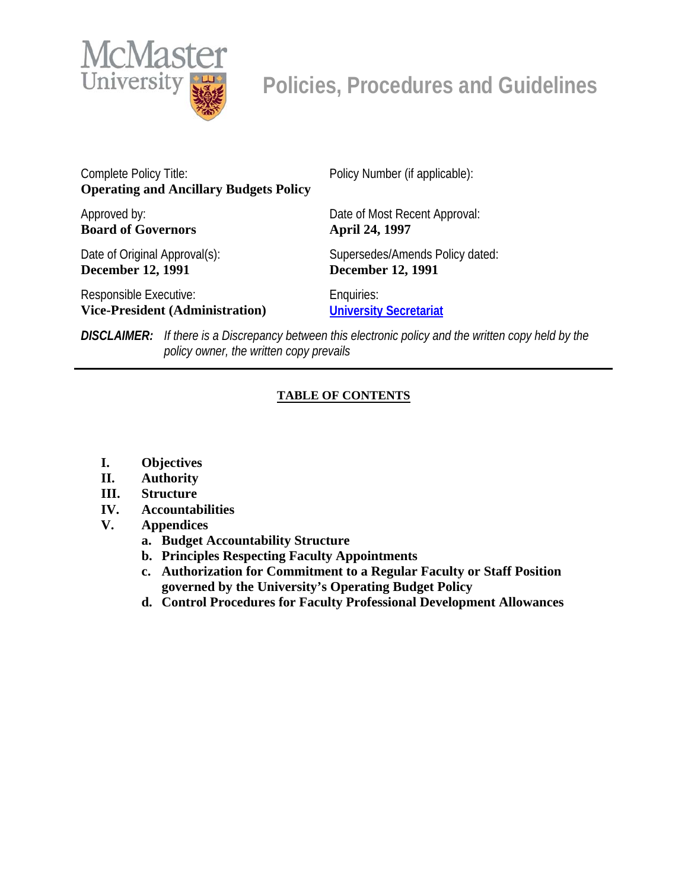

Complete Policy Title: **Operating and Ancillary Budgets Policy**  Policy Number (if applicable): Approved by: **Board of Governors**  Date of Most Recent Approval: **April 24, 1997**  Date of Original Approval(s): **December 12, 1991**  Supersedes/Amends Policy dated: **December 12, 1991**  Responsible Executive: **Vice-President (Administration)** Enquiries: **[University Secretariat](mailto:policy@mcmaster.ca?subject=%20Inquiry)**

*DISCLAIMER: If there is a Discrepancy between this electronic policy and the written copy held by the policy owner, the written copy prevails*

## **TABLE OF CONTENTS**

- **I. Objectives**
- **II. Authority**
- **III. Structure**
- **IV. Accountabilities**
- **V. Appendices** 
	- **a. Budget Accountability Structure**
	- **b. Principles Respecting Faculty Appointments**
	- **c. Authorization for Commitment to a Regular Faculty or Staff Position governed by the University's Operating Budget Policy**
	- **d. Control Procedures for Faculty Professional Development Allowances**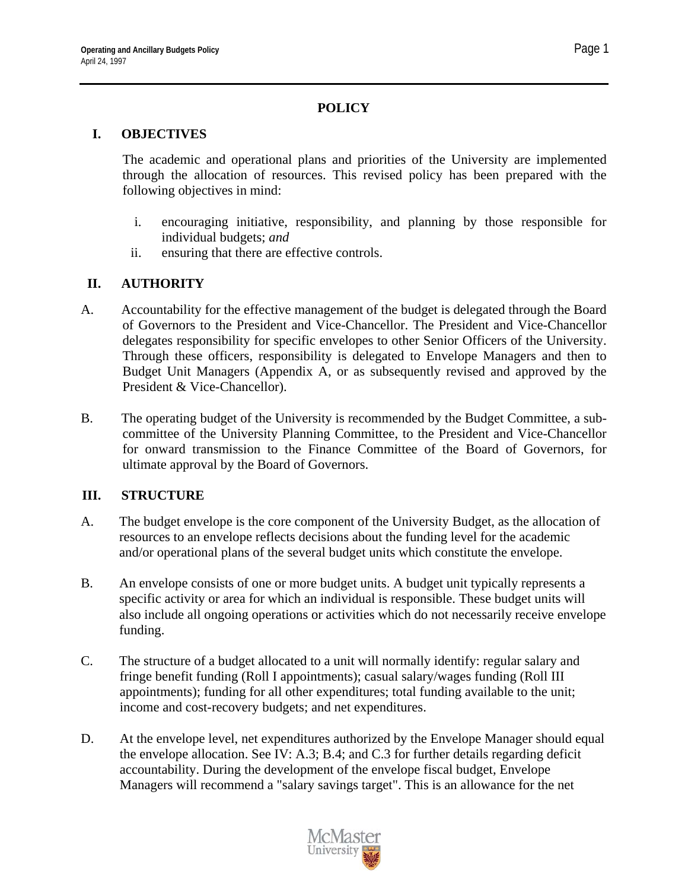## **POLICY**

#### **I. OBJECTIVES**

The academic and operational plans and priorities of the University are implemented through the allocation of resources. This revised policy has been prepared with the following objectives in mind:

- i. encouraging initiative, responsibility, and planning by those responsible for individual budgets; *and*
- ii. ensuring that there are effective controls.

## **II. AUTHORITY**

- A. Accountability for the effective management of the budget is delegated through the Board of Governors to the President and Vice-Chancellor. The President and Vice-Chancellor delegates responsibility for specific envelopes to other Senior Officers of the University. Through these officers, responsibility is delegated to Envelope Managers and then to Budget Unit Managers (Appendix A, or as subsequently revised and approved by the President & Vice-Chancellor).
- B. The operating budget of the University is recommended by the Budget Committee, a subcommittee of the University Planning Committee, to the President and Vice-Chancellor for onward transmission to the Finance Committee of the Board of Governors, for ultimate approval by the Board of Governors.

#### **III. STRUCTURE**

- A. The budget envelope is the core component of the University Budget, as the allocation of resources to an envelope reflects decisions about the funding level for the academic and/or operational plans of the several budget units which constitute the envelope.
- B. An envelope consists of one or more budget units. A budget unit typically represents a specific activity or area for which an individual is responsible. These budget units will also include all ongoing operations or activities which do not necessarily receive envelope funding.
- C. The structure of a budget allocated to a unit will normally identify: regular salary and fringe benefit funding (Roll I appointments); casual salary/wages funding (Roll III appointments); funding for all other expenditures; total funding available to the unit; income and cost-recovery budgets; and net expenditures.
- D. At the envelope level, net expenditures authorized by the Envelope Manager should equal the envelope allocation. See IV: A.3; B.4; and C.3 for further details regarding deficit accountability. During the development of the envelope fiscal budget, Envelope Managers will recommend a "salary savings target". This is an allowance for the net

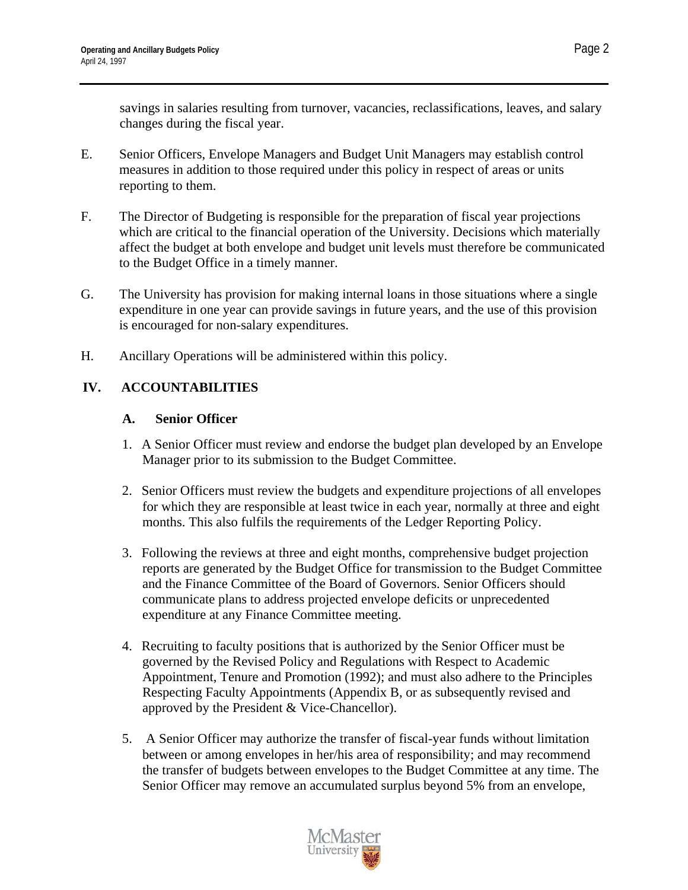savings in salaries resulting from turnover, vacancies, reclassifications, leaves, and salary changes during the fiscal year.

- E. Senior Officers, Envelope Managers and Budget Unit Managers may establish control measures in addition to those required under this policy in respect of areas or units reporting to them.
- F. The Director of Budgeting is responsible for the preparation of fiscal year projections which are critical to the financial operation of the University. Decisions which materially affect the budget at both envelope and budget unit levels must therefore be communicated to the Budget Office in a timely manner.
- G. The University has provision for making internal loans in those situations where a single expenditure in one year can provide savings in future years, and the use of this provision is encouraged for non-salary expenditures.
- H. Ancillary Operations will be administered within this policy.

## **IV. ACCOUNTABILITIES**

#### **A. Senior Officer**

- 1. A Senior Officer must review and endorse the budget plan developed by an Envelope Manager prior to its submission to the Budget Committee.
- 2. Senior Officers must review the budgets and expenditure projections of all envelopes for which they are responsible at least twice in each year, normally at three and eight months. This also fulfils the requirements of the Ledger Reporting Policy.
- 3. Following the reviews at three and eight months, comprehensive budget projection reports are generated by the Budget Office for transmission to the Budget Committee and the Finance Committee of the Board of Governors. Senior Officers should communicate plans to address projected envelope deficits or unprecedented expenditure at any Finance Committee meeting.
- 4. Recruiting to faculty positions that is authorized by the Senior Officer must be governed by the Revised Policy and Regulations with Respect to Academic Appointment, Tenure and Promotion (1992); and must also adhere to the Principles Respecting Faculty Appointments (Appendix B, or as subsequently revised and approved by the President & Vice-Chancellor).
- 5. A Senior Officer may authorize the transfer of fiscal-year funds without limitation between or among envelopes in her/his area of responsibility; and may recommend the transfer of budgets between envelopes to the Budget Committee at any time. The Senior Officer may remove an accumulated surplus beyond 5% from an envelope,

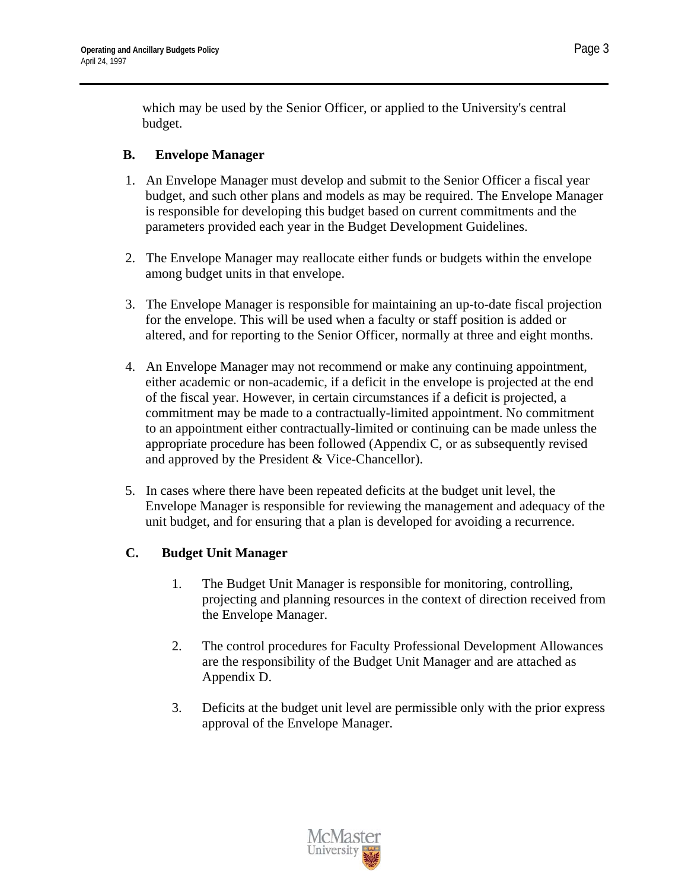which may be used by the Senior Officer, or applied to the University's central budget.

### **B. Envelope Manager**

- 1. An Envelope Manager must develop and submit to the Senior Officer a fiscal year budget, and such other plans and models as may be required. The Envelope Manager is responsible for developing this budget based on current commitments and the parameters provided each year in the Budget Development Guidelines.
- 2. The Envelope Manager may reallocate either funds or budgets within the envelope among budget units in that envelope.
- 3. The Envelope Manager is responsible for maintaining an up-to-date fiscal projection for the envelope. This will be used when a faculty or staff position is added or altered, and for reporting to the Senior Officer, normally at three and eight months.
- 4. An Envelope Manager may not recommend or make any continuing appointment, either academic or non-academic, if a deficit in the envelope is projected at the end of the fiscal year. However, in certain circumstances if a deficit is projected, a commitment may be made to a contractually-limited appointment. No commitment to an appointment either contractually-limited or continuing can be made unless the appropriate procedure has been followed (Appendix C, or as subsequently revised and approved by the President & Vice-Chancellor).
- 5. In cases where there have been repeated deficits at the budget unit level, the Envelope Manager is responsible for reviewing the management and adequacy of the unit budget, and for ensuring that a plan is developed for avoiding a recurrence.

## **C. Budget Unit Manager**

- 1. The Budget Unit Manager is responsible for monitoring, controlling, projecting and planning resources in the context of direction received from the Envelope Manager.
- 2. The control procedures for Faculty Professional Development Allowances are the responsibility of the Budget Unit Manager and are attached as Appendix D.
- 3. Deficits at the budget unit level are permissible only with the prior express approval of the Envelope Manager.

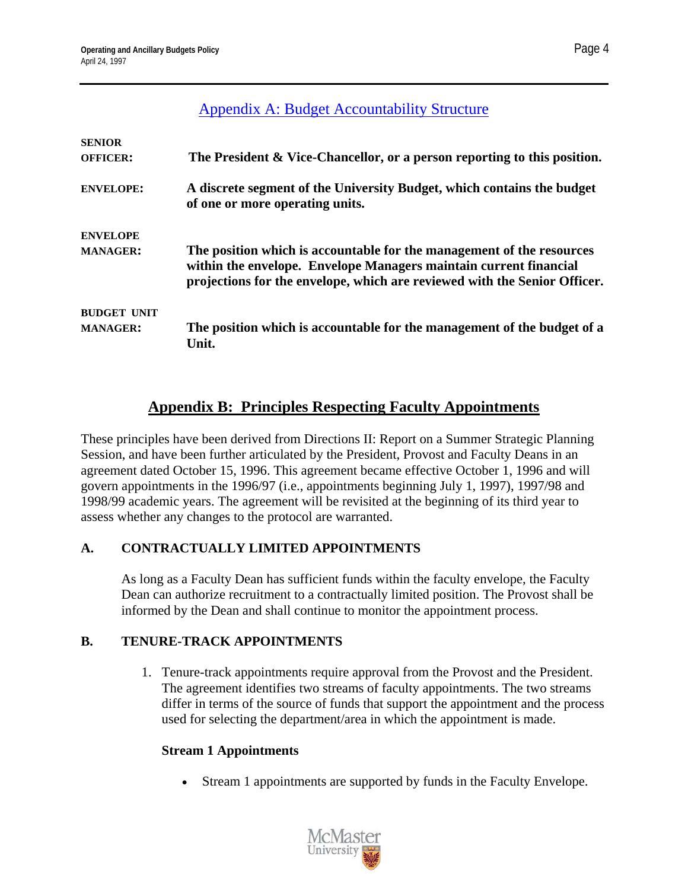| <b>SENIOR</b><br><b>OFFICER:</b>      | The President & Vice-Chancellor, or a person reporting to this position.                                                                                                                                                |
|---------------------------------------|-------------------------------------------------------------------------------------------------------------------------------------------------------------------------------------------------------------------------|
| <b>ENVELOPE:</b>                      | A discrete segment of the University Budget, which contains the budget<br>of one or more operating units.                                                                                                               |
| <b>ENVELOPE</b><br><b>MANAGER:</b>    | The position which is accountable for the management of the resources<br>within the envelope. Envelope Managers maintain current financial<br>projections for the envelope, which are reviewed with the Senior Officer. |
| <b>BUDGET UNIT</b><br><b>MANAGER:</b> | The position which is accountable for the management of the budget of a<br>Unit.                                                                                                                                        |

# **Appendix B: Principles Respecting Faculty Appointments**

These principles have been derived from Directions II: Report on a Summer Strategic Planning Session, and have been further articulated by the President, Provost and Faculty Deans in an agreement dated October 15, 1996. This agreement became effective October 1, 1996 and will govern appointments in the 1996/97 (i.e., appointments beginning July 1, 1997), 1997/98 and 1998/99 academic years. The agreement will be revisited at the beginning of its third year to assess whether any changes to the protocol are warranted.

## **A. CONTRACTUALLY LIMITED APPOINTMENTS**

As long as a Faculty Dean has sufficient funds within the faculty envelope, the Faculty Dean can authorize recruitment to a contractually limited position. The Provost shall be informed by the Dean and shall continue to monitor the appointment process.

#### **B. TENURE-TRACK APPOINTMENTS**

1. Tenure-track appointments require approval from the Provost and the President. The agreement identifies two streams of faculty appointments. The two streams differ in terms of the source of funds that support the appointment and the process used for selecting the department/area in which the appointment is made.

#### **Stream 1 Appointments**

Stream 1 appointments are supported by funds in the Faculty Envelope.